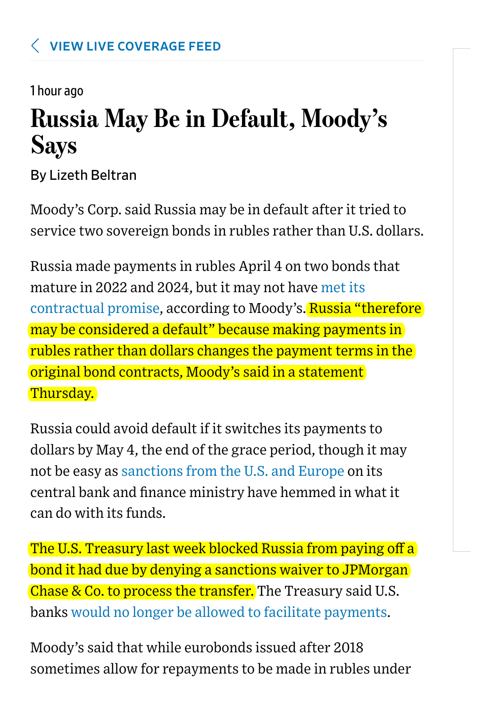1 hour ago

## Russia May Be in Default, Moody's Says

By Lizeth Beltran

Moody's Corp. said Russia may be in default after it tried to service two sovereign bonds in rubles rather than U.S. dollars.

Russia made payments in rubles April 4 on two bonds that mature in 2022 and 2024, but it may not have [met its](https://www.moodys.com/research/Moodys-says-repayment-of-Russias-foreign-currency-bond-in-rubles--PR_465155) [contractual promise,](https://www.moodys.com/research/Moodys-says-repayment-of-Russias-foreign-currency-bond-in-rubles--PR_465155) according to Moody's. Russia "therefore may be considered a default" because making payments in rubles rather than dollars changes the payment terms in the original bond contracts, Moody's said in a statement Thursday.

Russia could avoid default if it switches its payments to dollars by May 4, the end of the grace period, though it may not be easy as [sanctions from the U.S. and Europe](https://www.wsj.com/articles/russia-ukraine-sanctions-11645819467) on its central bank and finance ministry have hemmed in what it can do with its funds.

The U.S. Treasury last week blocked Russia from paying off a bond it had due by denying a sanctions waiver to JPMorgan Chase & Co. to process the transfer. The Treasury said U.S. banks [would no longer be allowed to facilitate payments.](https://www.wsj.com/articles/why-russia-doesnt-want-to-defaulteven-in-a-time-of-war-11649336269)

Moody's said that while eurobonds issued after 2018 sometimes allow for repayments to be made in rubles under